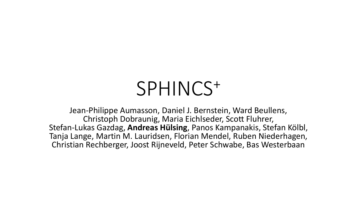# SPHINCS<sup>+</sup>

Jean-Philippe Aumasson, Daniel J. Bernstein, Ward Beullens, Christoph Dobraunig, Maria Eichlseder, Scott Fluhrer, Stefan-Lukas Gazdag, **Andreas Hülsing**, Panos Kampanakis, Stefan Kölbl, Tanja Lange, Martin M. Lauridsen, Florian Mendel, Ruben Niederhagen, Christian Rechberger, Joost Rijneveld, Peter Schwabe, Bas Westerbaan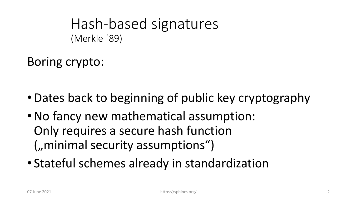Hash-based signatures (Merkle ´89)

Boring crypto:

- •Dates back to beginning of public key cryptography
- •No fancy new mathematical assumption: Only requires a secure hash function  $($ "minimal security assumptions")
- Stateful schemes already in standardization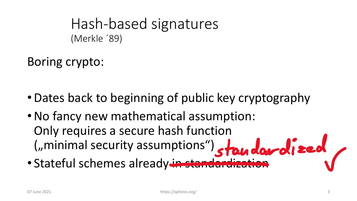Hash-based signatures (Merkle ´89)

Boring crypto:

- •Dates back to beginning of public key cryptography
- •No fancy new mathematical assumption: Only requires a secure hash function ("minimal security assumptions") standardized
- Stateful schemes already in standardization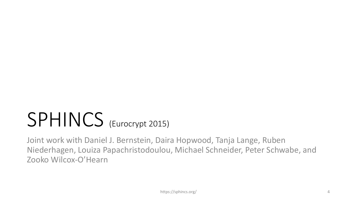# SPHINCS (Eurocrypt 2015)

Joint work with Daniel J. Bernstein, Daira Hopwood, Tanja Lange, Ruben Niederhagen, Louiza Papachristodoulou, Michael Schneider, Peter Schwabe, and Zooko Wilcox-O'Hearn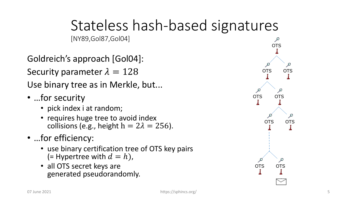# Stateless hash-based signatures

[NY89,Gol87,Gol04]

Goldreich's approach [Gol04]: Security parameter  $\lambda = 128$ Use binary tree as in Merkle, but...

- …for security
	- pick index i at random;
	- requires huge tree to avoid index collisions (e.g., height  $h = 2\lambda = 256$ ).
- ... for efficiency:
	- use binary certification tree of OTS key pairs (= Hypertree with  $d = h$ ),
	- all OTS secret keys are generated pseudorandomly.

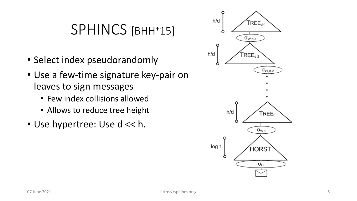#### SPHINCS [BHH<sup>+</sup>15]

- Select index pseudorandomly
- Use a few-time signature key-pair on leaves to sign messages
	- Few index collisions allowed
	- Allows to reduce tree height
- Use hypertree: Use d << h.

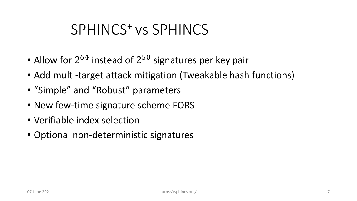### SPHINCS<sup>+</sup>vs SPHINCS

- Allow for  $2^{64}$  instead of  $2^{50}$  signatures per key pair
- Add multi-target attack mitigation (Tweakable hash functions)
- "Simple" and "Robust" parameters
- New few-time signature scheme FORS
- Verifiable index selection
- Optional non-deterministic signatures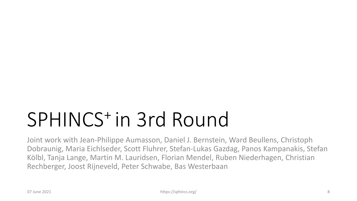# SPHINCS<sup>+</sup>in 3rd Round

Joint work with Jean-Philippe Aumasson, Daniel J. Bernstein, Ward Beullens, Christoph Dobraunig, Maria Eichlseder, Scott Fluhrer, Stefan-Lukas Gazdag, Panos Kampanakis, Stefan Kölbl, Tanja Lange, Martin M. Lauridsen, Florian Mendel, Ruben Niederhagen, Christian Rechberger, Joost Rijneveld, Peter Schwabe, Bas Westerbaan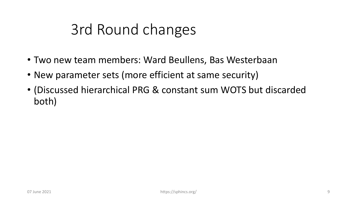# 3rd Round changes

- Two new team members: Ward Beullens, Bas Westerbaan
- New parameter sets (more efficient at same security)
- (Discussed hierarchical PRG & constant sum WOTS but discarded both)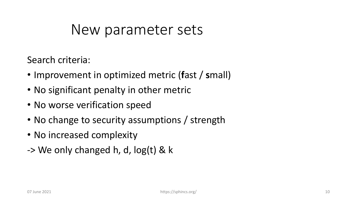Search criteria:

- Improvement in optimized metric (**f**ast / **s**mall)
- No significant penalty in other metric
- No worse verification speed
- No change to security assumptions / strength
- No increased complexity
- -> We only changed h, d, log(t) & k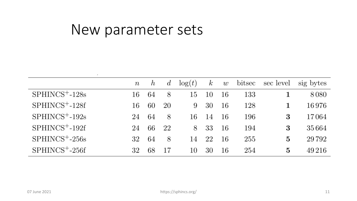|                    | $\, n \,$ | $\hbar$ | $\overline{d}$ | $\log(t)$ | $\kappa$ | w  | bitsec | sec level | sig bytes |
|--------------------|-----------|---------|----------------|-----------|----------|----|--------|-----------|-----------|
| $SPHINCS^+ - 128s$ | 16        | 64      | 8              | 15        | 10       | 16 | 133    |           | 8080      |
| $SPHINCS^+ - 128f$ | 16        | 60      | 20             | 9         | 30       | 16 | 128    |           | 16976     |
| $SPHINCS^+ - 192s$ | 24        | 64      | 8              | 16        | 14       | 16 | 196    | 3         | 17064     |
| $SPHINCS^+ - 192f$ | 24        | 66      | 22             | 8         | 33       | 16 | 194    | 3         | 35 664    |
| $SPHINCS^+ - 256s$ | 32        | 64      | 8              | 14        | 22       | 16 | 255    | 5         | 29 792    |
| $SPHINCS^+ - 256f$ | 32        | 68      | 17             | 10        | 30       | 16 | 254    | 5         | 49 216    |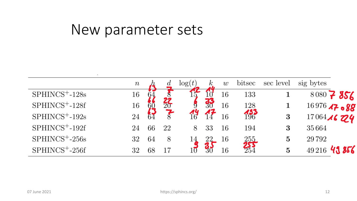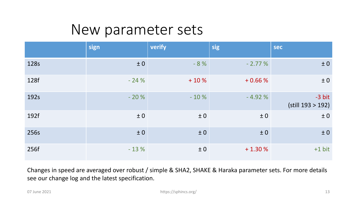|      | sign   | verify  | sig      | <b>sec</b>                    |
|------|--------|---------|----------|-------------------------------|
| 128s | ± 0    | $-8%$   | $-2.77%$ | $\pm 0$                       |
| 128f | $-24%$ | $+10%$  | $+0.66%$ | ± 0                           |
| 192s | $-20%$ | $-10%$  | $-4.92%$ | $-3 bit$<br>(still 193 > 192) |
| 192f | ± 0    | ±0      | ± 0      | ± 0                           |
| 256s | ± 0    | $\pm 0$ | ±0       | ± 0                           |
| 256f | $-13%$ | ±0      | $+1.30%$ | $+1$ bit                      |

Changes in speed are averaged over robust / simple & SHA2, SHAKE & Haraka parameter sets. For more details see our change log and the latest specification.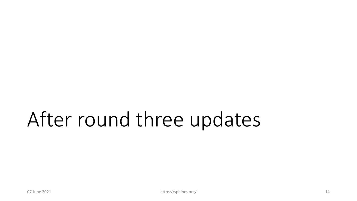# After round three updates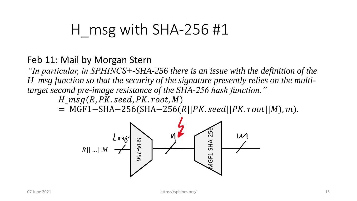### H msg with SHA-256 #1

#### Feb 11: Mail by Morgan Stern

*"In particular, in SPHINCS+-SHA-256 there is an issue with the definition of the H\_msg function so that the security of the signature presently relies on the multitarget second pre-image resistance of the SHA-256 hash function."*

 $H_msg(R, PK. seed, PK. root, M)$ 

 $= MGF1-SHA-256(SHA-256(R||PK. seed||PK. root||M), m).$ 

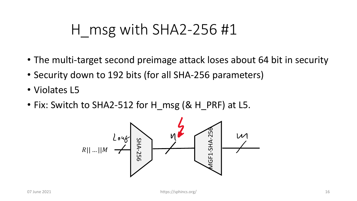## H  $~$ msg with SHA2-256 #1

- The multi-target second preimage attack loses about 64 bit in security
- Security down to 192 bits (for all SHA-256 parameters)
- Violates L5
- Fix: Switch to SHA2-512 for H\_msg (& H\_PRF) at L5.

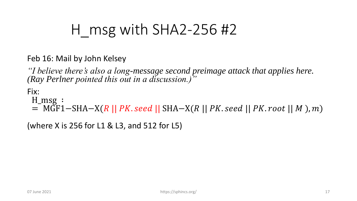# H msg with  $SHA2-256$ #2

Feb 16: Mail by John Kelsey

*"I believe there's also a long-message second preimage attack that applies here. (Ray Perlner pointed this out in a discussion.)"*

Fix:

H\_msg ∶

= MGF1−SHA−X(R || PK. seed || SHA−X(R || PK. seed || PK. root || M), m)

(where X is 256 for L1 & L3, and 512 for L5)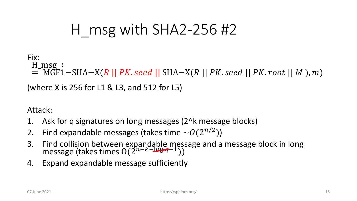# H msg with  $SHA2-256$ #2

#### Fix:

H msg:  $=$  MGF1−SHA−X(R || PK. seed || SHA−X(R || PK. seed || PK. root || M), m)

(where X is 256 for L1 & L3, and 512 for L5)

Attack:

- 1. Ask for q signatures on long messages (2^k message blocks)
- 2. Find expandable messages (takes time  $\sim O(2^{n/2})$ )
- 3. Find collision between expandable message and a message block in long message (takes times  $O(2^{n-k-\log q-1}))$
- 4. Expand expandable message sufficiently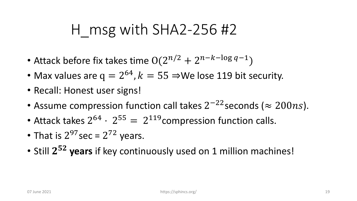### H  $msg$  with SHA2-256 #2

- Attack before fix takes time  $O(2^{n/2} + 2^{n-k-\log q-1})$
- Max values are  $q = 2^{64}$ ,  $k = 55 \Rightarrow$ We lose 119 bit security.
- Recall: Honest user signs!
- Assume compression function call takes  $2^{-22}$  seconds ( $\approx 200ns$ ).
- Attack takes  $2^{64} \cdot 2^{55} = 2^{119}$ compression function calls.
- That is  $2^{97}$  sec =  $2^{72}$  years.
- Still 2<sup>52</sup> years if key continuously used on 1 million machines!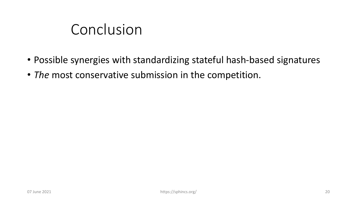### Conclusion

- Possible synergies with standardizing stateful hash-based signatures
- *The* most conservative submission in the competition.